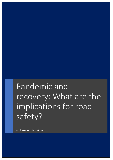## Pandemic and recovery: What are the implications for road safety?

Professor Nicola Christie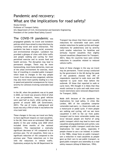## Pandemic and recovery: What are the implications for road safety?

Nicola Christie Professor of Transport Safety UCL Department of Civil, Environmental and Geomatic Engineering President of the London Road Safety Council

The COVID-19 pandemic was

propagated globally via travel and lockdown policies which have aimed to stop infections by curtailing travel and social interaction. The pandemic has been a major social, economic and environmental disruptor. Lockdown has provided a glimpse of cities with little traffic and people walking and cycling for their permitted exercise and to access food and health services. The disruption may lead to permanent changes. There may be more homeworking, more home deliveries, more use of the urban environment for exercise, more fear of travelling in crowded public transport which leads to changes in the way people travel. If our cities are less congested, vehicles may also move more quickly leading to a rise in speed and potential consequences for injury severity for collisions involving vulnerable road users.

In the UK, when the pandemic was at its peak in 2020, car travel was around a third of what it was pre-pandemic, heavy good vehicles were used half as much, while cycling saw a growth of around 300% (UK Government, 2021). The use of trains, underground and buses was only a fifth of what it was before the virus took hold.

These changes in the way we travel are likely to have significant impacts on road casualties. In the UK, there were an estimated 1580 road deaths in the year ending June 2020 which included three months of the national lockdown. This represented a statically significant decrease of 14% compared to the previous year. For all casualties, there was a significant reduction of 16% compared to the previous year. These reductions are in line with the reductions in vehicle traffic. Exploratory analysis by the UK Department for Transport has shown that there were casualty reductions for vulnerable road users (with smaller reductions for pedal cyclists and larger reductions for pedestrians) and by severity (with smaller reductions for fatalities and seriously injured casualties than slightly injured casualties) (Department for Transport, 2021). Many EU countries have seen similar reductions in casualties related to reduced vehicle traffic.

Some of these changes in the way we travel may be permanent. Travel surveys conducted by the government in the UK during the peak of the pandemic showed that 39% of respondents reported to walk more and 38% reported to cycle more than before the outbreak. Of those that reported to walk or cycle more, 94% thought it is likely that they would continue to cycle and walk more once travel restrictions were removed (Department for Transport, 2020).

Mode shift because of the pandemic has implications for road safety. In cities like London, 80% of the casualties comprise vulnerable road users, i.e. those who walk, use a motorcycle or pedal cycle. If more people are walking and cycling, will we see more casualties? A shift to the car from public transport and to more vulnerable modes may occur because people are fearful of using public transport which may lead to more road casualties among pedestrians and cyclists. Less patronage of public transport could also have implications for road safety, especially if people choose to use a car instead. In London in the 1980s, cheap fares on public transport saw a reduction in road casualties as people gave up their cars to use public transport, so good public transport acts ostensibly as a road safety measure (Allsop & Robertson, 1994).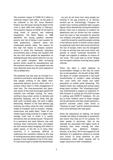The economic impact of COVID-19 is likely to indirectly impact road safety. At the peak of the outbreak in the UK, Gross Domestic Product was 25% lower during the depth of the crisis in April 2020 than earlier in February. The economic impacts of COVID-19 will lead to rising levels of poverty and widening inequalities. The Black Report in 1980 identified the strong gradient between poverty and risk of being a road casualty for child pedestrians, research shows this relationship persists today. The reasons for this high risk relates to complex systemic factors in which the inherently hazardous environments play a strong role coupled with the fact that more people are dependent on walking because they cannot afford to run cars or use public transport. With increasing poverty levels caused by unemployment and the economic downturn, more people from the most deprived areas may be more exposed to risk as pedestrians.

The pandemic has also seen an increase in ecommerce and food or meal delivery. We know that people working in the highly timepressurised delivery services often work in a context where there is little management of road risks. The time-pressurised and piecerate nature of the work encourages speed limit violation and red-light running. For some, working in busy urban centres is mentally and physically fatiguing, and for those who get their work via phone apps, the work is highly distracting. Workers in the food delivery gig economy are often using the most vulnerable modes of transport such as scooters, mopeds, motorcycles and pedal bikes. Those on two wheels report being involved in a higher-thanaverage crash rate in which it is usually themselves that are being injured. The growth of e-commerce and meal delivery may well continue when restrictions relax, and people are still reticent about mingling with others in public spaces. In the UK, as in many other countries, it is extremely difficult to understand the casualties related to this way of working because police reporting of journey purpose is only completed in one in five cases. It is also hard to get to handle the denominator – we just do not know how many people are working in the gig economy or as delivery workers per se. Interestingly, Transport for London have recently published fatal casualty figures which showed that during the lockdown period, there was a reduction in numbers for pedestrians and car drivers but the numbers were the same or had increased for powered two wheelers and pedal cyclists, respectively – could this be partly caused by people working in the delivery sector? A further concern about occupational road risk is that across the UK and the rest of Europe, there was the derogation of rules on driving time and truck driver rest periods to ensure continued movement of freight and supplies in addition to closure of rest areas. This could lead to driver fatigue and increased collisions involving heavy goods vehicles.

There has been a rapid response to accommodate changes in the way we travel due to the pandemic. On the 6th of May 2020, the Mayor of London announced a fast-track transformation of London's roads including new cycle lanes and routes and wider pavements to enable social distancing. This helped create new walking and cycling routes along major corridors. The "streetspace plan" was implemented to support an expected 10 fold increase in cycling and five-fold increase in walking post-COVID-19 lockdown. We are yet to know whether some of these changes will be permanent and they would represent a positive outcome unless cities revert to "business as usual" and let motorised vehicles once more dominate the road space.

Given the importance of walking, we should consider the safety of sidewalks or pavements and ensure that they are fit for purpose. For older people in particular, falls on the sidewalk are associated with higher levels of mortality than when crossing the road. Researchers (e.g. Methorst, Schepers, Christie, & de Geus, 2017) have argued for the definition of a pedestrian collision to include such events to bring attention to poor maintenance which poses hazards and to target resources at their remediation.